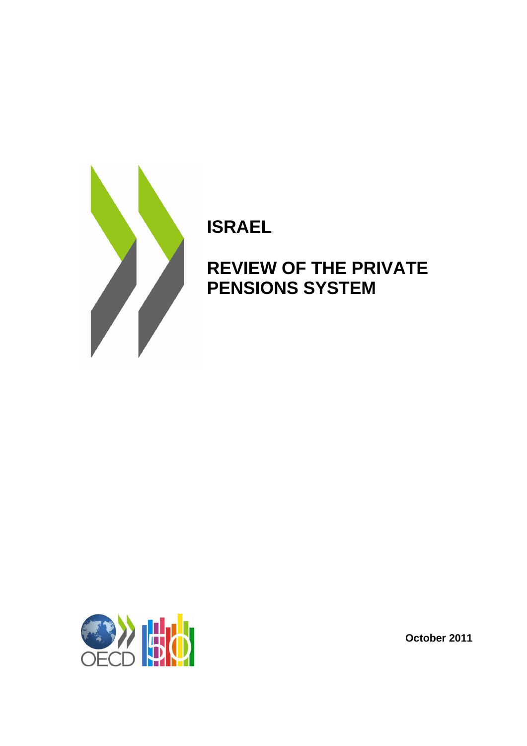

# **ISRAEL**

## **REVIEW OF THE PRIVATE PENSIONS SYSTEM**



**October 2011**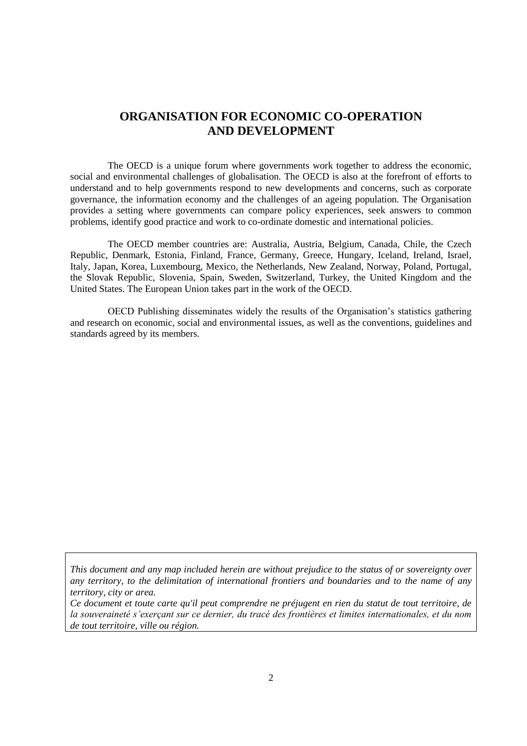## **ORGANISATION FOR ECONOMIC CO-OPERATION AND DEVELOPMENT**

The OECD is a unique forum where governments work together to address the economic, social and environmental challenges of globalisation. The OECD is also at the forefront of efforts to understand and to help governments respond to new developments and concerns, such as corporate governance, the information economy and the challenges of an ageing population. The Organisation provides a setting where governments can compare policy experiences, seek answers to common problems, identify good practice and work to co-ordinate domestic and international policies.

The OECD member countries are: Australia, Austria, Belgium, Canada, Chile, the Czech Republic, Denmark, Estonia, Finland, France, Germany, Greece, Hungary, Iceland, Ireland, Israel, Italy, Japan, Korea, Luxembourg, Mexico, the Netherlands, New Zealand, Norway, Poland, Portugal, the Slovak Republic, Slovenia, Spain, Sweden, Switzerland, Turkey, the United Kingdom and the United States. The European Union takes part in the work of the OECD.

OECD Publishing disseminates widely the results of the Organisation's statistics gathering and research on economic, social and environmental issues, as well as the conventions, guidelines and standards agreed by its members.

*This document and any map included herein are without prejudice to the status of or sovereignty over any territory, to the delimitation of international frontiers and boundaries and to the name of any territory, city or area.*

*Ce document et toute carte qu'il peut comprendre ne préjugent en rien du statut de tout territoire, de la souveraineté s'exerçant sur ce dernier, du tracé des frontières et limites internationales, et du nom de tout territoire, ville ou région.*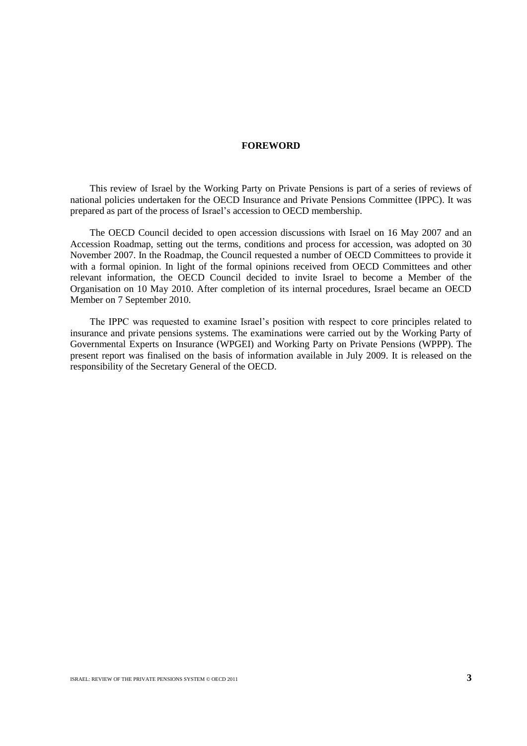#### **FOREWORD**

This review of Israel by the Working Party on Private Pensions is part of a series of reviews of national policies undertaken for the OECD Insurance and Private Pensions Committee (IPPC). It was prepared as part of the process of Israel's accession to OECD membership.

The OECD Council decided to open accession discussions with Israel on 16 May 2007 and an Accession Roadmap, setting out the terms, conditions and process for accession, was adopted on 30 November 2007. In the Roadmap, the Council requested a number of OECD Committees to provide it with a formal opinion. In light of the formal opinions received from OECD Committees and other relevant information, the OECD Council decided to invite Israel to become a Member of the Organisation on 10 May 2010. After completion of its internal procedures, Israel became an OECD Member on 7 September 2010.

The IPPC was requested to examine Israel's position with respect to core principles related to insurance and private pensions systems. The examinations were carried out by the Working Party of Governmental Experts on Insurance (WPGEI) and Working Party on Private Pensions (WPPP). The present report was finalised on the basis of information available in July 2009. It is released on the responsibility of the Secretary General of the OECD.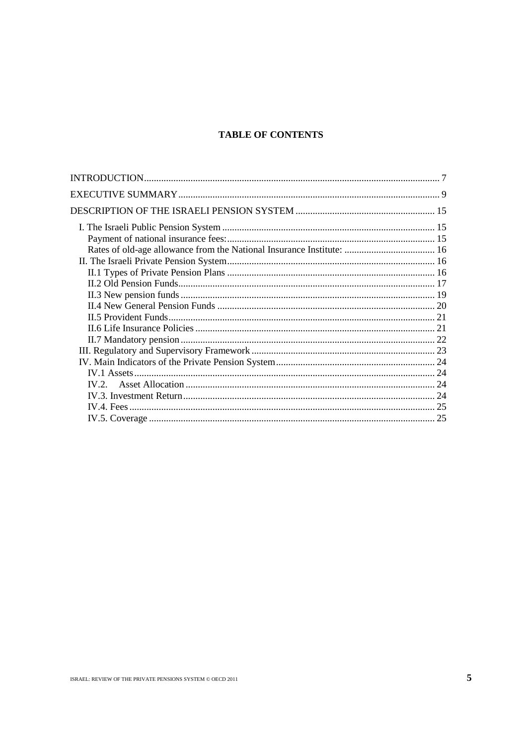## **TABLE OF CONTENTS**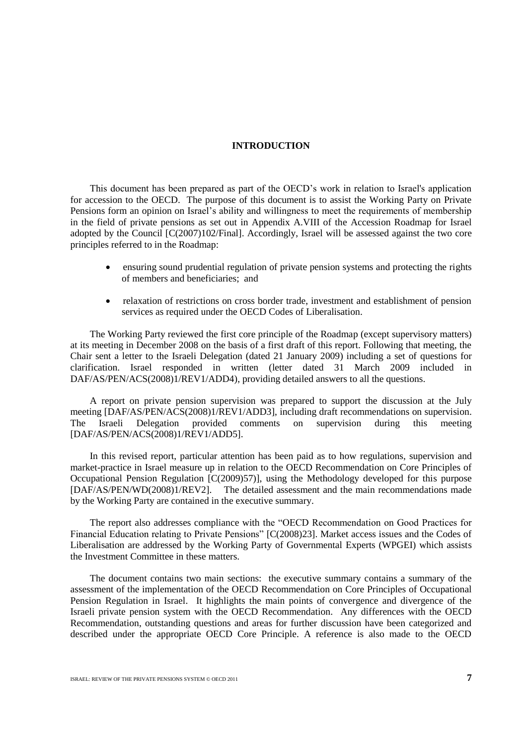#### **INTRODUCTION**

This document has been prepared as part of the OECD's work in relation to Israel's application for accession to the OECD. The purpose of this document is to assist the Working Party on Private Pensions form an opinion on Israel's ability and willingness to meet the requirements of membership in the field of private pensions as set out in Appendix A.VIII of the Accession Roadmap for Israel adopted by the Council [C(2007)102/Final]. Accordingly, Israel will be assessed against the two core principles referred to in the Roadmap:

- ensuring sound prudential regulation of private pension systems and protecting the rights of members and beneficiaries; and
- relaxation of restrictions on cross border trade, investment and establishment of pension services as required under the OECD Codes of Liberalisation.

The Working Party reviewed the first core principle of the Roadmap (except supervisory matters) at its meeting in December 2008 on the basis of a first draft of this report. Following that meeting, the Chair sent a letter to the Israeli Delegation (dated 21 January 2009) including a set of questions for clarification. Israel responded in written (letter dated 31 March 2009 included in DAF/AS/PEN/ACS(2008)1/REV1/ADD4), providing detailed answers to all the questions.

A report on private pension supervision was prepared to support the discussion at the July meeting [DAF/AS/PEN/ACS(2008)1/REV1/ADD3], including draft recommendations on supervision. The Israeli Delegation provided comments on supervision during this meeting [DAF/AS/PEN/ACS(2008)1/REV1/ADD5].

In this revised report, particular attention has been paid as to how regulations, supervision and market-practice in Israel measure up in relation to the OECD Recommendation on Core Principles of Occupational Pension Regulation [C(2009)57)], using the Methodology developed for this purpose [DAF/AS/PEN/WD(2008)1/REV2]. The detailed assessment and the main recommendations made by the Working Party are contained in the executive summary.

The report also addresses compliance with the "OECD Recommendation on Good Practices for Financial Education relating to Private Pensions" [C(2008)23]. Market access issues and the Codes of Liberalisation are addressed by the Working Party of Governmental Experts (WPGEI) which assists the Investment Committee in these matters.

The document contains two main sections: the executive summary contains a summary of the assessment of the implementation of the OECD Recommendation on Core Principles of Occupational Pension Regulation in Israel. It highlights the main points of convergence and divergence of the Israeli private pension system with the OECD Recommendation. Any differences with the OECD Recommendation, outstanding questions and areas for further discussion have been categorized and described under the appropriate OECD Core Principle. A reference is also made to the OECD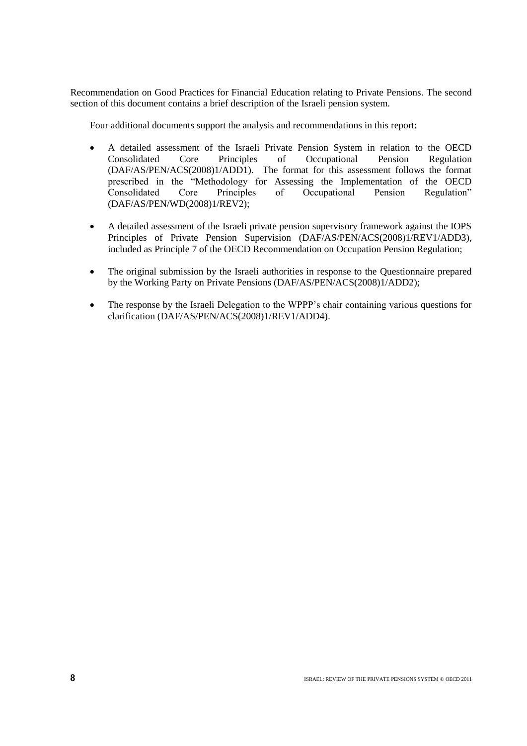Recommendation on Good Practices for Financial Education relating to Private Pensions. The second section of this document contains a brief description of the Israeli pension system.

Four additional documents support the analysis and recommendations in this report:

- A detailed assessment of the Israeli Private Pension System in relation to the OECD Consolidated Core Principles of Occupational Pension Regulation (DAF/AS/PEN/ACS(2008)1/ADD1). The format for this assessment follows the format prescribed in the "Methodology for Assessing the Implementation of the OECD Consolidated Core Principles of Occupational Pension Regulation" (DAF/AS/PEN/WD(2008)1/REV2);
- A detailed assessment of the Israeli private pension supervisory framework against the IOPS Principles of Private Pension Supervision (DAF/AS/PEN/ACS(2008)1/REV1/ADD3), included as Principle 7 of the OECD Recommendation on Occupation Pension Regulation;
- The original submission by the Israeli authorities in response to the Questionnaire prepared by the Working Party on Private Pensions (DAF/AS/PEN/ACS(2008)1/ADD2);
- The response by the Israeli Delegation to the WPPP's chair containing various questions for clarification (DAF/AS/PEN/ACS(2008)1/REV1/ADD4).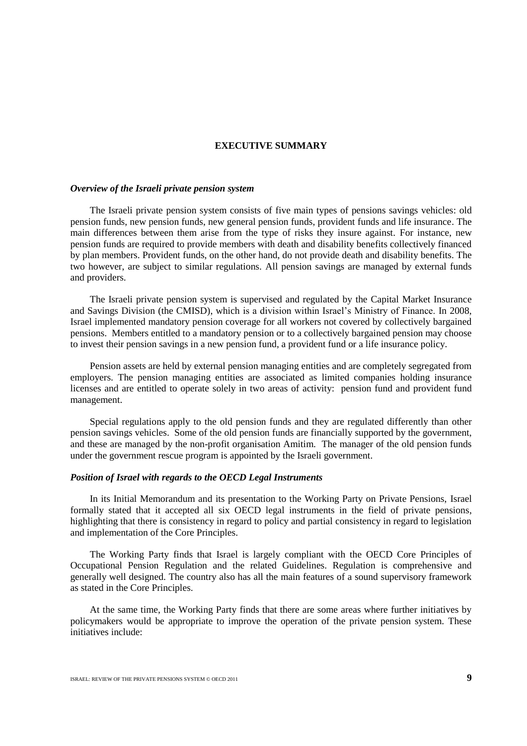#### **EXECUTIVE SUMMARY**

#### *Overview of the Israeli private pension system*

The Israeli private pension system consists of five main types of pensions savings vehicles: old pension funds, new pension funds, new general pension funds, provident funds and life insurance. The main differences between them arise from the type of risks they insure against. For instance, new pension funds are required to provide members with death and disability benefits collectively financed by plan members. Provident funds, on the other hand, do not provide death and disability benefits. The two however, are subject to similar regulations. All pension savings are managed by external funds and providers.

The Israeli private pension system is supervised and regulated by the Capital Market Insurance and Savings Division (the CMISD), which is a division within Israel's Ministry of Finance. In 2008, Israel implemented mandatory pension coverage for all workers not covered by collectively bargained pensions. Members entitled to a mandatory pension or to a collectively bargained pension may choose to invest their pension savings in a new pension fund, a provident fund or a life insurance policy.

Pension assets are held by external pension managing entities and are completely segregated from employers. The pension managing entities are associated as limited companies holding insurance licenses and are entitled to operate solely in two areas of activity: pension fund and provident fund management.

Special regulations apply to the old pension funds and they are regulated differently than other pension savings vehicles. Some of the old pension funds are financially supported by the government, and these are managed by the non-profit organisation Amitim. The manager of the old pension funds under the government rescue program is appointed by the Israeli government.

#### *Position of Israel with regards to the OECD Legal Instruments*

In its Initial Memorandum and its presentation to the Working Party on Private Pensions, Israel formally stated that it accepted all six OECD legal instruments in the field of private pensions, highlighting that there is consistency in regard to policy and partial consistency in regard to legislation and implementation of the Core Principles.

The Working Party finds that Israel is largely compliant with the OECD Core Principles of Occupational Pension Regulation and the related Guidelines. Regulation is comprehensive and generally well designed. The country also has all the main features of a sound supervisory framework as stated in the Core Principles.

At the same time, the Working Party finds that there are some areas where further initiatives by policymakers would be appropriate to improve the operation of the private pension system. These initiatives include: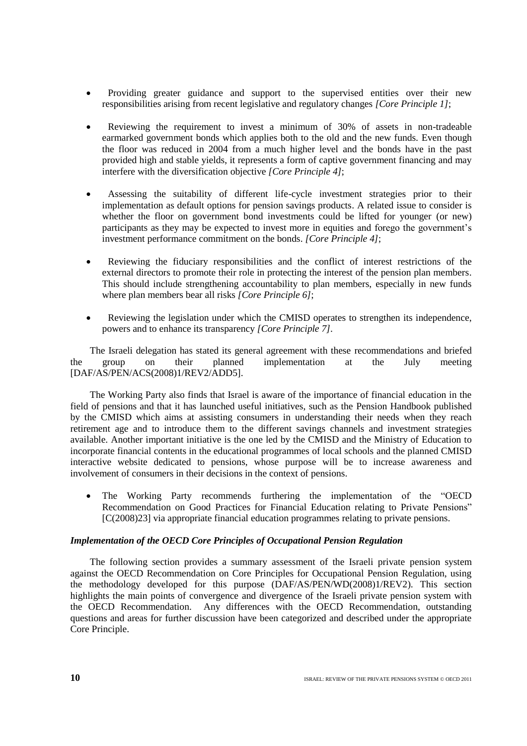- Providing greater guidance and support to the supervised entities over their new responsibilities arising from recent legislative and regulatory changes *[Core Principle 1]*;
- Reviewing the requirement to invest a minimum of 30% of assets in non-tradeable earmarked government bonds which applies both to the old and the new funds. Even though the floor was reduced in 2004 from a much higher level and the bonds have in the past provided high and stable yields, it represents a form of captive government financing and may interfere with the diversification objective *[Core Principle 4]*;
- Assessing the suitability of different life-cycle investment strategies prior to their implementation as default options for pension savings products. A related issue to consider is whether the floor on government bond investments could be lifted for younger (or new) participants as they may be expected to invest more in equities and forego the government's investment performance commitment on the bonds. *[Core Principle 4]*;
- Reviewing the fiduciary responsibilities and the conflict of interest restrictions of the external directors to promote their role in protecting the interest of the pension plan members. This should include strengthening accountability to plan members, especially in new funds where plan members bear all risks *[Core Principle 6]*;
- Reviewing the legislation under which the CMISD operates to strengthen its independence, powers and to enhance its transparency *[Core Principle 7]*.

The Israeli delegation has stated its general agreement with these recommendations and briefed the group on their planned implementation at the July meeting [DAF/AS/PEN/ACS(2008)1/REV2/ADD5].

The Working Party also finds that Israel is aware of the importance of financial education in the field of pensions and that it has launched useful initiatives, such as the Pension Handbook published by the CMISD which aims at assisting consumers in understanding their needs when they reach retirement age and to introduce them to the different savings channels and investment strategies available. Another important initiative is the one led by the CMISD and the Ministry of Education to incorporate financial contents in the educational programmes of local schools and the planned CMISD interactive website dedicated to pensions, whose purpose will be to increase awareness and involvement of consumers in their decisions in the context of pensions.

 The Working Party recommends furthering the implementation of the "OECD Recommendation on Good Practices for Financial Education relating to Private Pensions" [C(2008)23] via appropriate financial education programmes relating to private pensions.

## *Implementation of the OECD Core Principles of Occupational Pension Regulation*

The following section provides a summary assessment of the Israeli private pension system against the OECD Recommendation on Core Principles for Occupational Pension Regulation, using the methodology developed for this purpose (DAF/AS/PEN/WD(2008)1/REV2). This section highlights the main points of convergence and divergence of the Israeli private pension system with the OECD Recommendation. Any differences with the OECD Recommendation, outstanding questions and areas for further discussion have been categorized and described under the appropriate Core Principle.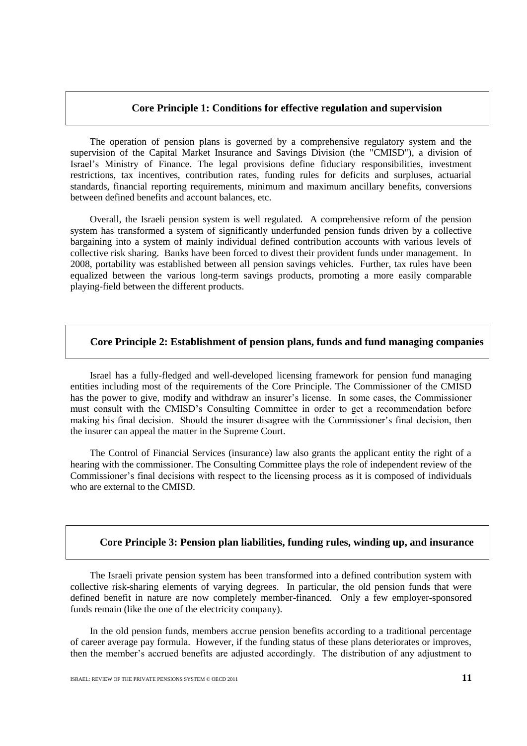## **Core Principle 1: Conditions for effective regulation and supervision**

The operation of pension plans is governed by a comprehensive regulatory system and the supervision of the Capital Market Insurance and Savings Division (the "CMISD"), a division of Israel's Ministry of Finance. The legal provisions define fiduciary responsibilities, investment restrictions, tax incentives, contribution rates, funding rules for deficits and surpluses, actuarial standards, financial reporting requirements, minimum and maximum ancillary benefits, conversions between defined benefits and account balances, etc.

Overall, the Israeli pension system is well regulated. A comprehensive reform of the pension system has transformed a system of significantly underfunded pension funds driven by a collective bargaining into a system of mainly individual defined contribution accounts with various levels of collective risk sharing. Banks have been forced to divest their provident funds under management. In 2008, portability was established between all pension savings vehicles. Further, tax rules have been equalized between the various long-term savings products, promoting a more easily comparable playing-field between the different products.

### **Core Principle 2: Establishment of pension plans, funds and fund managing companies**

Israel has a fully-fledged and well-developed licensing framework for pension fund managing entities including most of the requirements of the Core Principle. The Commissioner of the CMISD has the power to give, modify and withdraw an insurer's license. In some cases, the Commissioner must consult with the CMISD's Consulting Committee in order to get a recommendation before making his final decision. Should the insurer disagree with the Commissioner's final decision, then the insurer can appeal the matter in the Supreme Court.

The Control of Financial Services (insurance) law also grants the applicant entity the right of a hearing with the commissioner. The Consulting Committee plays the role of independent review of the Commissioner's final decisions with respect to the licensing process as it is composed of individuals who are external to the CMISD.

## **Core Principle 3: Pension plan liabilities, funding rules, winding up, and insurance**

The Israeli private pension system has been transformed into a defined contribution system with collective risk-sharing elements of varying degrees. In particular, the old pension funds that were defined benefit in nature are now completely member-financed. Only a few employer-sponsored funds remain (like the one of the electricity company).

In the old pension funds, members accrue pension benefits according to a traditional percentage of career average pay formula. However, if the funding status of these plans deteriorates or improves, then the member's accrued benefits are adjusted accordingly. The distribution of any adjustment to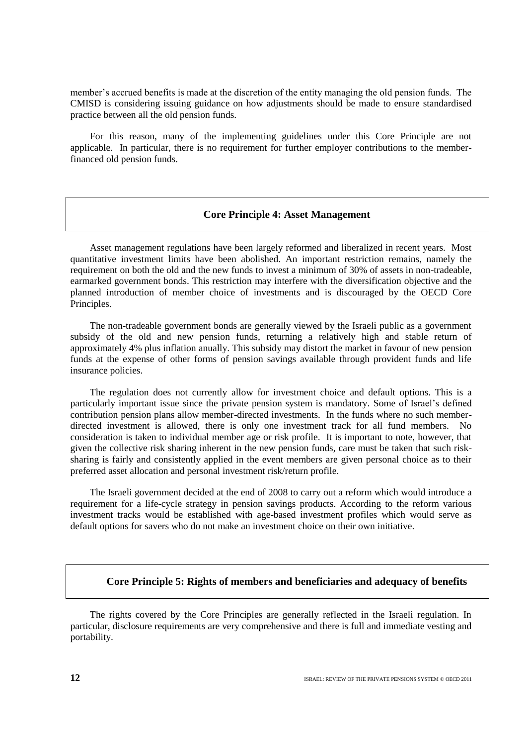member's accrued benefits is made at the discretion of the entity managing the old pension funds. The CMISD is considering issuing guidance on how adjustments should be made to ensure standardised practice between all the old pension funds.

For this reason, many of the implementing guidelines under this Core Principle are not applicable. In particular, there is no requirement for further employer contributions to the memberfinanced old pension funds.

## **Core Principle 4: Asset Management**

Asset management regulations have been largely reformed and liberalized in recent years. Most quantitative investment limits have been abolished. An important restriction remains, namely the requirement on both the old and the new funds to invest a minimum of 30% of assets in non-tradeable, earmarked government bonds. This restriction may interfere with the diversification objective and the planned introduction of member choice of investments and is discouraged by the OECD Core Principles.

The non-tradeable government bonds are generally viewed by the Israeli public as a government subsidy of the old and new pension funds, returning a relatively high and stable return of approximately 4% plus inflation anually. This subsidy may distort the market in favour of new pension funds at the expense of other forms of pension savings available through provident funds and life insurance policies.

The regulation does not currently allow for investment choice and default options. This is a particularly important issue since the private pension system is mandatory. Some of Israel's defined contribution pension plans allow member-directed investments. In the funds where no such memberdirected investment is allowed, there is only one investment track for all fund members. No consideration is taken to individual member age or risk profile. It is important to note, however, that given the collective risk sharing inherent in the new pension funds, care must be taken that such risksharing is fairly and consistently applied in the event members are given personal choice as to their preferred asset allocation and personal investment risk/return profile.

The Israeli government decided at the end of 2008 to carry out a reform which would introduce a requirement for a life-cycle strategy in pension savings products. According to the reform various investment tracks would be established with age-based investment profiles which would serve as default options for savers who do not make an investment choice on their own initiative.

## **Core Principle 5: Rights of members and beneficiaries and adequacy of benefits**

The rights covered by the Core Principles are generally reflected in the Israeli regulation. In particular, disclosure requirements are very comprehensive and there is full and immediate vesting and portability.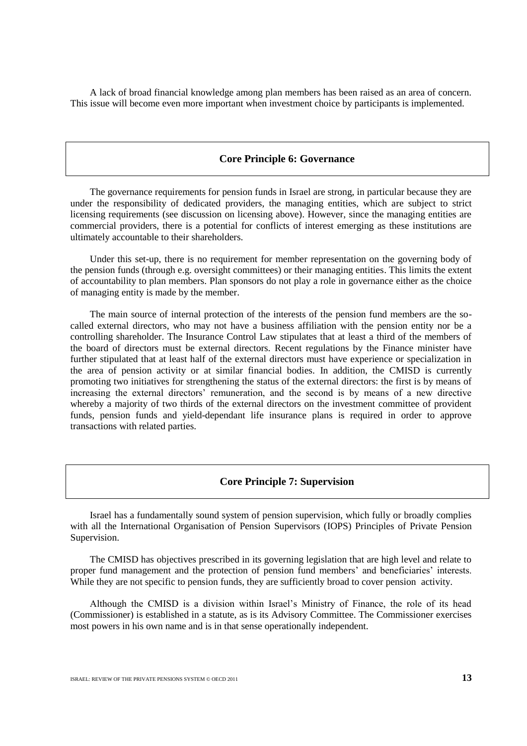A lack of broad financial knowledge among plan members has been raised as an area of concern. This issue will become even more important when investment choice by participants is implemented.

### **Core Principle 6: Governance**

The governance requirements for pension funds in Israel are strong, in particular because they are under the responsibility of dedicated providers, the managing entities, which are subject to strict licensing requirements (see discussion on licensing above). However, since the managing entities are commercial providers, there is a potential for conflicts of interest emerging as these institutions are ultimately accountable to their shareholders.

Under this set-up, there is no requirement for member representation on the governing body of the pension funds (through e.g. oversight committees) or their managing entities. This limits the extent of accountability to plan members. Plan sponsors do not play a role in governance either as the choice of managing entity is made by the member.

The main source of internal protection of the interests of the pension fund members are the socalled external directors, who may not have a business affiliation with the pension entity nor be a controlling shareholder. The Insurance Control Law stipulates that at least a third of the members of the board of directors must be external directors. Recent regulations by the Finance minister have further stipulated that at least half of the external directors must have experience or specialization in the area of pension activity or at similar financial bodies. In addition, the CMISD is currently promoting two initiatives for strengthening the status of the external directors: the first is by means of increasing the external directors' remuneration, and the second is by means of a new directive whereby a majority of two thirds of the external directors on the investment committee of provident funds, pension funds and yield-dependant life insurance plans is required in order to approve transactions with related parties.

## **Core Principle 7: Supervision**

Israel has a fundamentally sound system of pension supervision, which fully or broadly complies with all the International Organisation of Pension Supervisors (IOPS) Principles of Private Pension Supervision.

The CMISD has objectives prescribed in its governing legislation that are high level and relate to proper fund management and the protection of pension fund members' and beneficiaries' interests. While they are not specific to pension funds, they are sufficiently broad to cover pension activity.

Although the CMISD is a division within Israel's Ministry of Finance, the role of its head (Commissioner) is established in a statute, as is its Advisory Committee. The Commissioner exercises most powers in his own name and is in that sense operationally independent.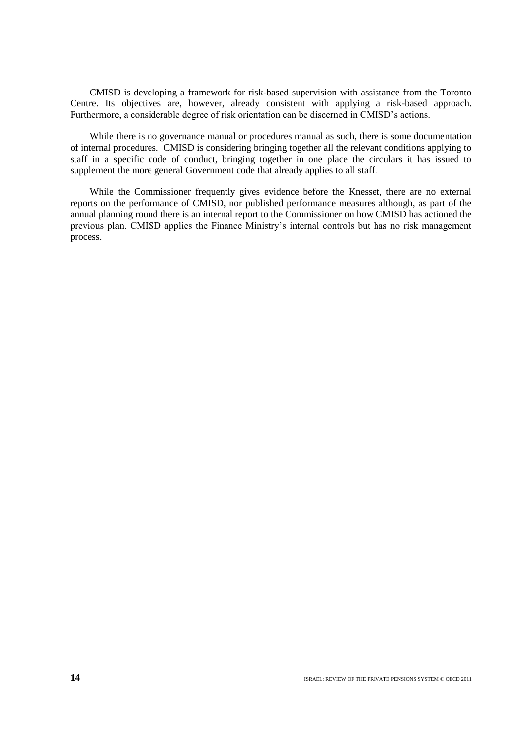CMISD is developing a framework for risk-based supervision with assistance from the Toronto Centre. Its objectives are, however, already consistent with applying a risk-based approach. Furthermore, a considerable degree of risk orientation can be discerned in CMISD's actions.

While there is no governance manual or procedures manual as such, there is some documentation of internal procedures. CMISD is considering bringing together all the relevant conditions applying to staff in a specific code of conduct, bringing together in one place the circulars it has issued to supplement the more general Government code that already applies to all staff.

While the Commissioner frequently gives evidence before the Knesset, there are no external reports on the performance of CMISD, nor published performance measures although, as part of the annual planning round there is an internal report to the Commissioner on how CMISD has actioned the previous plan. CMISD applies the Finance Ministry's internal controls but has no risk management process.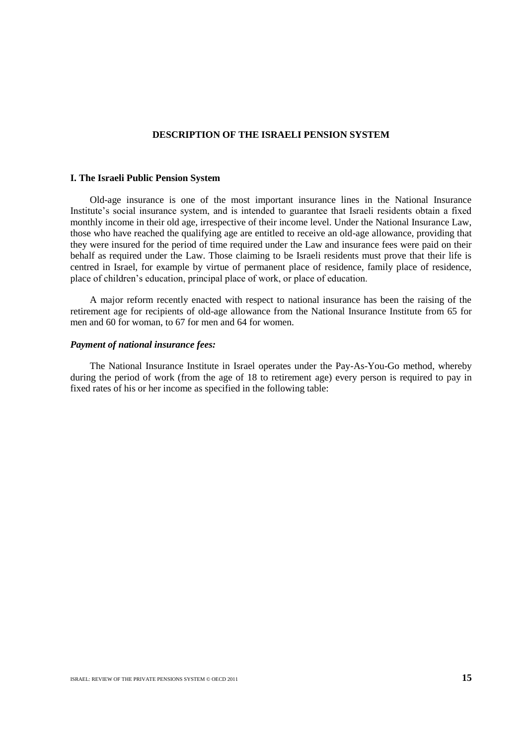### **DESCRIPTION OF THE ISRAELI PENSION SYSTEM**

#### **I. The Israeli Public Pension System**

Old-age insurance is one of the most important insurance lines in the National Insurance Institute's social insurance system, and is intended to guarantee that Israeli residents obtain a fixed monthly income in their old age, irrespective of their income level. Under the National Insurance Law, those who have reached the qualifying age are entitled to receive an old-age allowance, providing that they were insured for the period of time required under the Law and insurance fees were paid on their behalf as required under the Law. Those claiming to be Israeli residents must prove that their life is centred in Israel, for example by virtue of permanent place of residence, family place of residence, place of children's education, principal place of work, or place of education.

A major reform recently enacted with respect to national insurance has been the raising of the retirement age for recipients of old-age allowance from the National Insurance Institute from 65 for men and 60 for woman, to 67 for men and 64 for women.

## *Payment of national insurance fees:*

The National Insurance Institute in Israel operates under the Pay-As-You-Go method, whereby during the period of work (from the age of 18 to retirement age) every person is required to pay in fixed rates of his or her income as specified in the following table: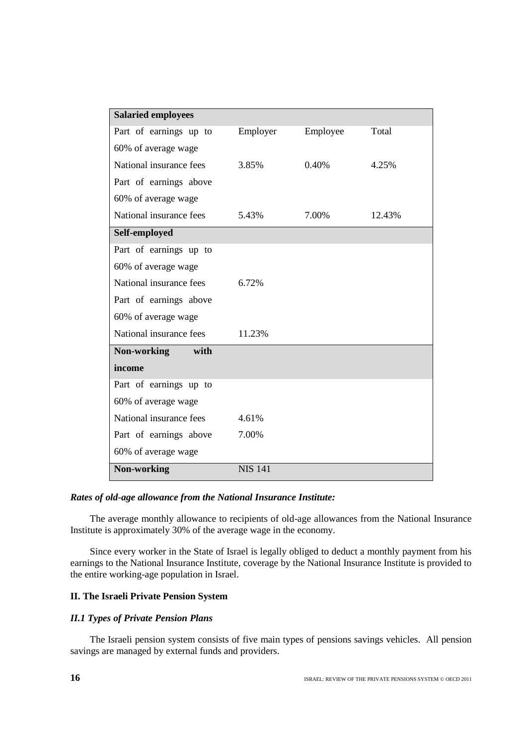| <b>Salaried employees</b> |                |          |        |
|---------------------------|----------------|----------|--------|
| Part of earnings up to    | Employer       | Employee | Total  |
| 60% of average wage       |                |          |        |
| National insurance fees   | 3.85%          | 0.40%    | 4.25%  |
| Part of earnings above    |                |          |        |
| 60% of average wage       |                |          |        |
| National insurance fees   | 5.43%          | 7.00%    | 12.43% |
| Self-employed             |                |          |        |
| Part of earnings up to    |                |          |        |
| 60% of average wage       |                |          |        |
| National insurance fees   | 6.72%          |          |        |
| Part of earnings above    |                |          |        |
| 60% of average wage       |                |          |        |
| National insurance fees   | 11.23%         |          |        |
| with<br>Non-working       |                |          |        |
| income                    |                |          |        |
| Part of earnings up to    |                |          |        |
| 60% of average wage       |                |          |        |
| National insurance fees   | 4.61%          |          |        |
| Part of earnings above    | 7.00%          |          |        |
| 60% of average wage       |                |          |        |
| Non-working               | <b>NIS 141</b> |          |        |

## *Rates of old-age allowance from the National Insurance Institute:*

The average monthly allowance to recipients of old-age allowances from the National Insurance Institute is approximately 30% of the average wage in the economy.

Since every worker in the State of Israel is legally obliged to deduct a monthly payment from his earnings to the National Insurance Institute, coverage by the National Insurance Institute is provided to the entire working-age population in Israel.

## **II. The Israeli Private Pension System**

## *II.1 Types of Private Pension Plans*

The Israeli pension system consists of five main types of pensions savings vehicles. All pension savings are managed by external funds and providers.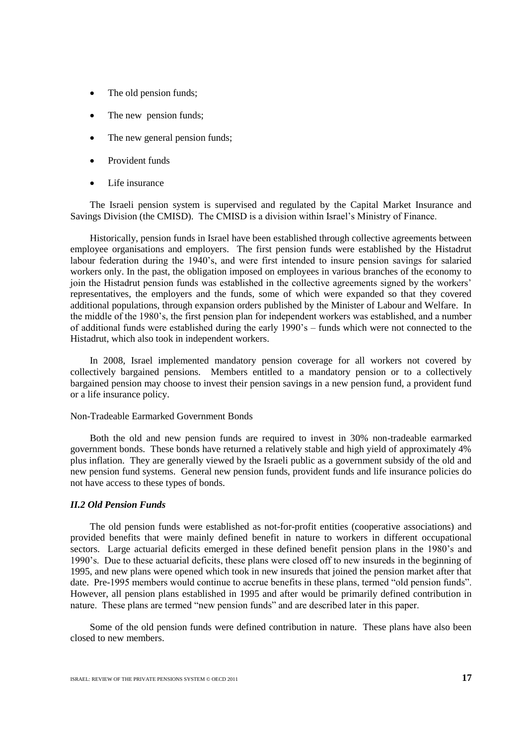- The old pension funds;
- The new pension funds;
- The new general pension funds;
- Provident funds
- Life insurance

The Israeli pension system is supervised and regulated by the Capital Market Insurance and Savings Division (the CMISD). The CMISD is a division within Israel's Ministry of Finance.

Historically, pension funds in Israel have been established through collective agreements between employee organisations and employers. The first pension funds were established by the Histadrut labour federation during the 1940's, and were first intended to insure pension savings for salaried workers only. In the past, the obligation imposed on employees in various branches of the economy to join the Histadrut pension funds was established in the collective agreements signed by the workers' representatives, the employers and the funds, some of which were expanded so that they covered additional populations, through expansion orders published by the Minister of Labour and Welfare. In the middle of the 1980's, the first pension plan for independent workers was established, and a number of additional funds were established during the early 1990's – funds which were not connected to the Histadrut, which also took in independent workers.

In 2008, Israel implemented mandatory pension coverage for all workers not covered by collectively bargained pensions. Members entitled to a mandatory pension or to a collectively bargained pension may choose to invest their pension savings in a new pension fund, a provident fund or a life insurance policy.

### Non-Tradeable Earmarked Government Bonds

Both the old and new pension funds are required to invest in 30% non-tradeable earmarked government bonds. These bonds have returned a relatively stable and high yield of approximately 4% plus inflation. They are generally viewed by the Israeli public as a government subsidy of the old and new pension fund systems. General new pension funds, provident funds and life insurance policies do not have access to these types of bonds.

#### *II.2 Old Pension Funds*

The old pension funds were established as not-for-profit entities (cooperative associations) and provided benefits that were mainly defined benefit in nature to workers in different occupational sectors. Large actuarial deficits emerged in these defined benefit pension plans in the 1980's and 1990's. Due to these actuarial deficits, these plans were closed off to new insureds in the beginning of 1995, and new plans were opened which took in new insureds that joined the pension market after that date. Pre-1995 members would continue to accrue benefits in these plans, termed "old pension funds". However, all pension plans established in 1995 and after would be primarily defined contribution in nature. These plans are termed "new pension funds" and are described later in this paper.

Some of the old pension funds were defined contribution in nature. These plans have also been closed to new members.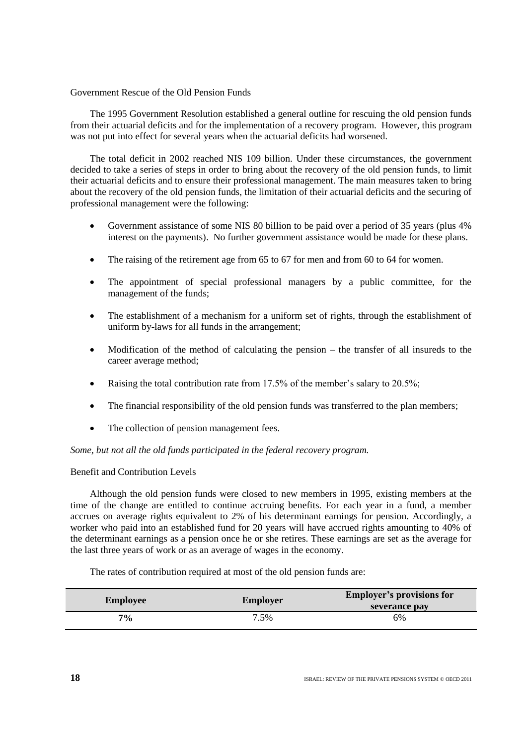### Government Rescue of the Old Pension Funds

The 1995 Government Resolution established a general outline for rescuing the old pension funds from their actuarial deficits and for the implementation of a recovery program. However, this program was not put into effect for several years when the actuarial deficits had worsened.

The total deficit in 2002 reached NIS 109 billion. Under these circumstances, the government decided to take a series of steps in order to bring about the recovery of the old pension funds, to limit their actuarial deficits and to ensure their professional management. The main measures taken to bring about the recovery of the old pension funds, the limitation of their actuarial deficits and the securing of professional management were the following:

- Government assistance of some NIS 80 billion to be paid over a period of 35 years (plus 4% interest on the payments). No further government assistance would be made for these plans.
- The raising of the retirement age from 65 to 67 for men and from 60 to 64 for women.
- The appointment of special professional managers by a public committee, for the management of the funds;
- The establishment of a mechanism for a uniform set of rights, through the establishment of uniform by-laws for all funds in the arrangement;
- Modification of the method of calculating the pension the transfer of all insureds to the career average method;
- Raising the total contribution rate from 17.5% of the member's salary to 20.5%;
- The financial responsibility of the old pension funds was transferred to the plan members;
- The collection of pension management fees.

*Some, but not all the old funds participated in the federal recovery program.*

## Benefit and Contribution Levels

Although the old pension funds were closed to new members in 1995, existing members at the time of the change are entitled to continue accruing benefits. For each year in a fund, a member accrues on average rights equivalent to 2% of his determinant earnings for pension. Accordingly, a worker who paid into an established fund for 20 years will have accrued rights amounting to 40% of the determinant earnings as a pension once he or she retires. These earnings are set as the average for the last three years of work or as an average of wages in the economy.

The rates of contribution required at most of the old pension funds are:

| <b>Employee</b> | <b>Employer</b> | <b>Employer's provisions for</b><br>severance pay |
|-----------------|-----------------|---------------------------------------------------|
| $7\%$           | 7.5%            | 6%                                                |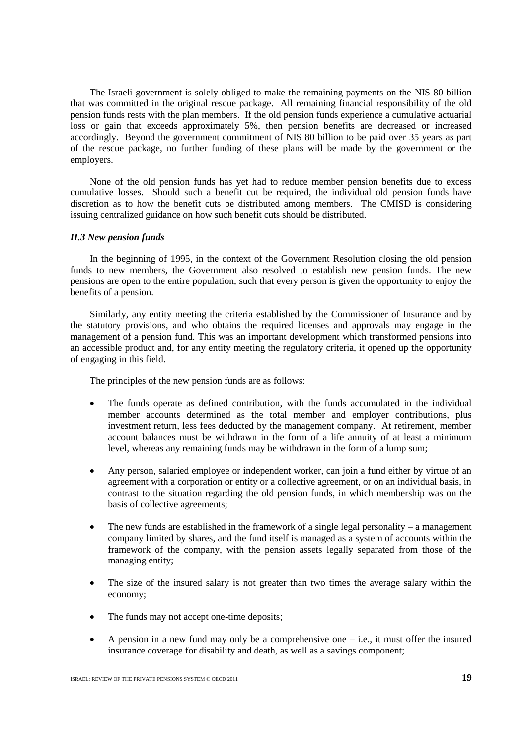The Israeli government is solely obliged to make the remaining payments on the NIS 80 billion that was committed in the original rescue package. All remaining financial responsibility of the old pension funds rests with the plan members. If the old pension funds experience a cumulative actuarial loss or gain that exceeds approximately 5%, then pension benefits are decreased or increased accordingly. Beyond the government commitment of NIS 80 billion to be paid over 35 years as part of the rescue package, no further funding of these plans will be made by the government or the employers.

None of the old pension funds has yet had to reduce member pension benefits due to excess cumulative losses. Should such a benefit cut be required, the individual old pension funds have discretion as to how the benefit cuts be distributed among members. The CMISD is considering issuing centralized guidance on how such benefit cuts should be distributed.

#### *II.3 New pension funds*

In the beginning of 1995, in the context of the Government Resolution closing the old pension funds to new members, the Government also resolved to establish new pension funds. The new pensions are open to the entire population, such that every person is given the opportunity to enjoy the benefits of a pension.

Similarly, any entity meeting the criteria established by the Commissioner of Insurance and by the statutory provisions, and who obtains the required licenses and approvals may engage in the management of a pension fund. This was an important development which transformed pensions into an accessible product and, for any entity meeting the regulatory criteria, it opened up the opportunity of engaging in this field.

The principles of the new pension funds are as follows:

- The funds operate as defined contribution, with the funds accumulated in the individual member accounts determined as the total member and employer contributions, plus investment return, less fees deducted by the management company. At retirement, member account balances must be withdrawn in the form of a life annuity of at least a minimum level, whereas any remaining funds may be withdrawn in the form of a lump sum;
- Any person, salaried employee or independent worker, can join a fund either by virtue of an agreement with a corporation or entity or a collective agreement, or on an individual basis, in contrast to the situation regarding the old pension funds, in which membership was on the basis of collective agreements;
- The new funds are established in the framework of a single legal personality a management company limited by shares, and the fund itself is managed as a system of accounts within the framework of the company, with the pension assets legally separated from those of the managing entity;
- The size of the insured salary is not greater than two times the average salary within the economy;
- The funds may not accept one-time deposits;
- A pension in a new fund may only be a comprehensive one  $-$  i.e., it must offer the insured insurance coverage for disability and death, as well as a savings component;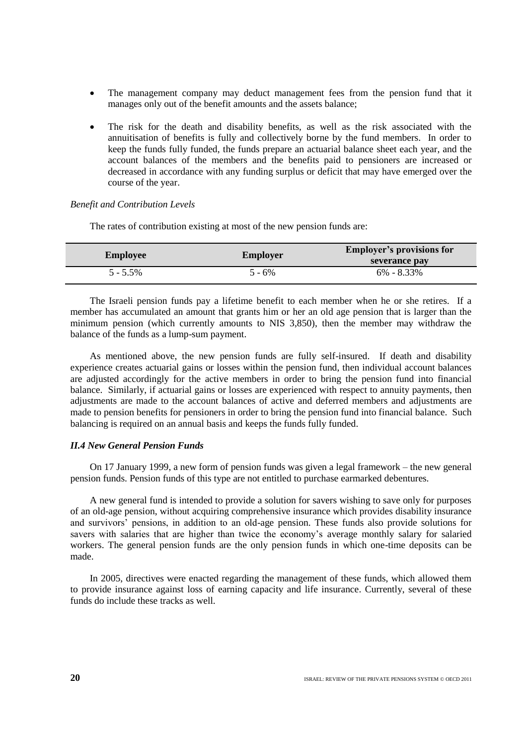- The management company may deduct management fees from the pension fund that it manages only out of the benefit amounts and the assets balance;
- The risk for the death and disability benefits, as well as the risk associated with the annuitisation of benefits is fully and collectively borne by the fund members. In order to keep the funds fully funded, the funds prepare an actuarial balance sheet each year, and the account balances of the members and the benefits paid to pensioners are increased or decreased in accordance with any funding surplus or deficit that may have emerged over the course of the year.

#### *Benefit and Contribution Levels*

The rates of contribution existing at most of the new pension funds are:

| <b>Employee</b> | <b>Employer</b> | <b>Employer's provisions for</b><br>severance pay |
|-----------------|-----------------|---------------------------------------------------|
| $5 - 5.5\%$     | 5 - 6%          | $6\% - 8.33\%$                                    |

The Israeli pension funds pay a lifetime benefit to each member when he or she retires. If a member has accumulated an amount that grants him or her an old age pension that is larger than the minimum pension (which currently amounts to NIS 3,850), then the member may withdraw the balance of the funds as a lump-sum payment.

As mentioned above, the new pension funds are fully self-insured. If death and disability experience creates actuarial gains or losses within the pension fund, then individual account balances are adjusted accordingly for the active members in order to bring the pension fund into financial balance. Similarly, if actuarial gains or losses are experienced with respect to annuity payments, then adjustments are made to the account balances of active and deferred members and adjustments are made to pension benefits for pensioners in order to bring the pension fund into financial balance. Such balancing is required on an annual basis and keeps the funds fully funded.

#### *II.4 New General Pension Funds*

On 17 January 1999, a new form of pension funds was given a legal framework – the new general pension funds. Pension funds of this type are not entitled to purchase earmarked debentures.

A new general fund is intended to provide a solution for savers wishing to save only for purposes of an old-age pension, without acquiring comprehensive insurance which provides disability insurance and survivors' pensions, in addition to an old-age pension. These funds also provide solutions for savers with salaries that are higher than twice the economy's average monthly salary for salaried workers. The general pension funds are the only pension funds in which one-time deposits can be made.

In 2005, directives were enacted regarding the management of these funds, which allowed them to provide insurance against loss of earning capacity and life insurance. Currently, several of these funds do include these tracks as well.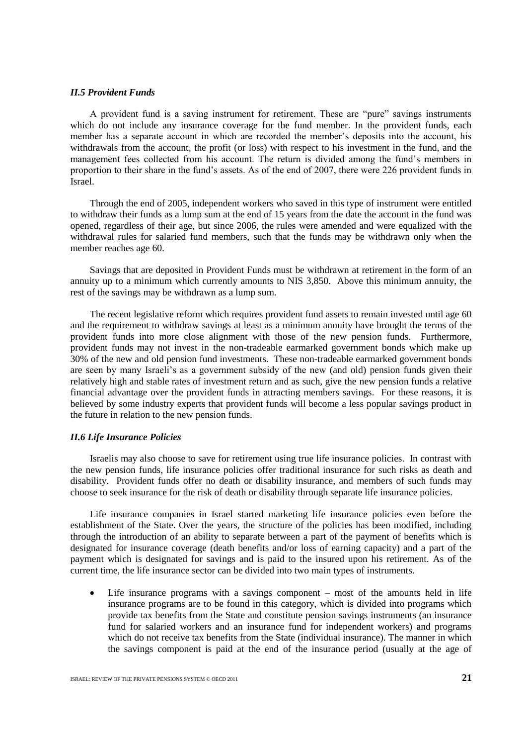### *II.5 Provident Funds*

A provident fund is a saving instrument for retirement. These are "pure" savings instruments which do not include any insurance coverage for the fund member. In the provident funds, each member has a separate account in which are recorded the member's deposits into the account, his withdrawals from the account, the profit (or loss) with respect to his investment in the fund, and the management fees collected from his account. The return is divided among the fund's members in proportion to their share in the fund's assets. As of the end of 2007, there were 226 provident funds in Israel.

Through the end of 2005, independent workers who saved in this type of instrument were entitled to withdraw their funds as a lump sum at the end of 15 years from the date the account in the fund was opened, regardless of their age, but since 2006, the rules were amended and were equalized with the withdrawal rules for salaried fund members, such that the funds may be withdrawn only when the member reaches age 60.

Savings that are deposited in Provident Funds must be withdrawn at retirement in the form of an annuity up to a minimum which currently amounts to NIS 3,850. Above this minimum annuity, the rest of the savings may be withdrawn as a lump sum.

The recent legislative reform which requires provident fund assets to remain invested until age 60 and the requirement to withdraw savings at least as a minimum annuity have brought the terms of the provident funds into more close alignment with those of the new pension funds. Furthermore, provident funds may not invest in the non-tradeable earmarked government bonds which make up 30% of the new and old pension fund investments. These non-tradeable earmarked government bonds are seen by many Israeli's as a government subsidy of the new (and old) pension funds given their relatively high and stable rates of investment return and as such, give the new pension funds a relative financial advantage over the provident funds in attracting members savings. For these reasons, it is believed by some industry experts that provident funds will become a less popular savings product in the future in relation to the new pension funds.

#### *II.6 Life Insurance Policies*

Israelis may also choose to save for retirement using true life insurance policies. In contrast with the new pension funds, life insurance policies offer traditional insurance for such risks as death and disability. Provident funds offer no death or disability insurance, and members of such funds may choose to seek insurance for the risk of death or disability through separate life insurance policies.

Life insurance companies in Israel started marketing life insurance policies even before the establishment of the State. Over the years, the structure of the policies has been modified, including through the introduction of an ability to separate between a part of the payment of benefits which is designated for insurance coverage (death benefits and/or loss of earning capacity) and a part of the payment which is designated for savings and is paid to the insured upon his retirement. As of the current time, the life insurance sector can be divided into two main types of instruments.

 Life insurance programs with a savings component – most of the amounts held in life insurance programs are to be found in this category, which is divided into programs which provide tax benefits from the State and constitute pension savings instruments (an insurance fund for salaried workers and an insurance fund for independent workers) and programs which do not receive tax benefits from the State (individual insurance). The manner in which the savings component is paid at the end of the insurance period (usually at the age of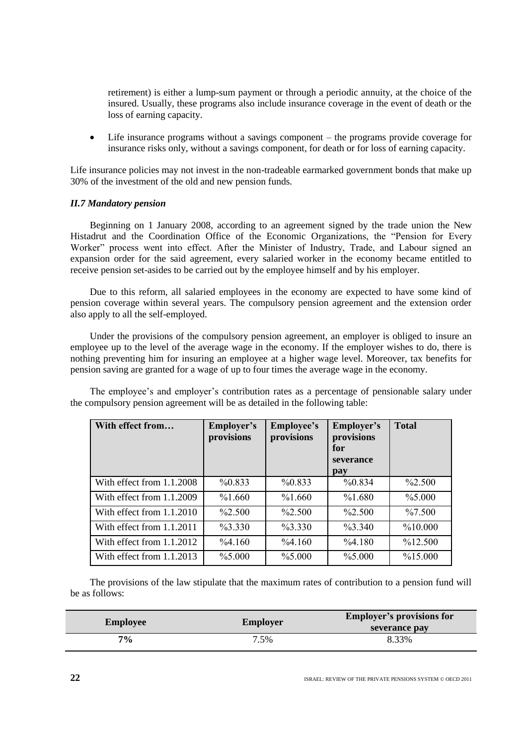retirement) is either a lump-sum payment or through a periodic annuity, at the choice of the insured. Usually, these programs also include insurance coverage in the event of death or the loss of earning capacity.

 Life insurance programs without a savings component – the programs provide coverage for insurance risks only, without a savings component, for death or for loss of earning capacity.

Life insurance policies may not invest in the non-tradeable earmarked government bonds that make up 30% of the investment of the old and new pension funds.

#### *II.7 Mandatory pension*

Beginning on 1 January 2008, according to an agreement signed by the trade union the New Histadrut and the Coordination Office of the Economic Organizations, the "Pension for Every Worker" process went into effect. After the Minister of Industry, Trade, and Labour signed an expansion order for the said agreement, every salaried worker in the economy became entitled to receive pension set-asides to be carried out by the employee himself and by his employer.

Due to this reform, all salaried employees in the economy are expected to have some kind of pension coverage within several years. The compulsory pension agreement and the extension order also apply to all the self-employed.

Under the provisions of the compulsory pension agreement, an employer is obliged to insure an employee up to the level of the average wage in the economy. If the employer wishes to do, there is nothing preventing him for insuring an employee at a higher wage level. Moreover, tax benefits for pension saving are granted for a wage of up to four times the average wage in the economy.

The employee's and employer's contribution rates as a percentage of pensionable salary under the compulsory pension agreement will be as detailed in the following table:

| With effect from            | Employer's<br>provisions | <b>Employee's</b><br>provisions | Employer's<br>provisions<br>for<br>severance<br>pay | <b>Total</b> |
|-----------------------------|--------------------------|---------------------------------|-----------------------------------------------------|--------------|
| With effect from 1.1.2008   | %0.833                   | %0.833                          | %0.834                                              | $\%2.500$    |
| With effect from 1.1.2009   | %1.660                   | %1.660                          | %1.680                                              | %5.000       |
| With effect from $1.1.2010$ | $\%2.500$                | $\%2.500$                       | $\frac{9}{2.500}$                                   | $\%7.500$    |
| With effect from 1.1.2011   | $\%3.330$                | $\%3.330$                       | $\%3.340$                                           | %10.000      |
| With effect from $1.1.2012$ | %4.160                   | %4.160                          | $\%4.180$                                           | $\%12.500$   |
| With effect from $1.1.2013$ | %5.000                   | %5.000                          | %5.000                                              | %15.000      |

The provisions of the law stipulate that the maximum rates of contribution to a pension fund will be as follows:

| <b>Employee</b> | <b>Employer</b> | <b>Employer's provisions for</b><br>severance pay |
|-----------------|-----------------|---------------------------------------------------|
| $7\%$           | 7.5%            | 8.33%                                             |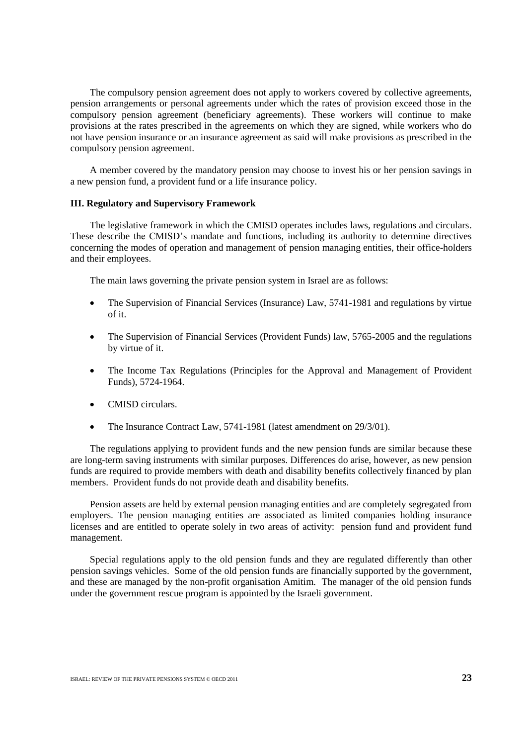The compulsory pension agreement does not apply to workers covered by collective agreements, pension arrangements or personal agreements under which the rates of provision exceed those in the compulsory pension agreement (beneficiary agreements). These workers will continue to make provisions at the rates prescribed in the agreements on which they are signed, while workers who do not have pension insurance or an insurance agreement as said will make provisions as prescribed in the compulsory pension agreement.

A member covered by the mandatory pension may choose to invest his or her pension savings in a new pension fund, a provident fund or a life insurance policy.

#### **III. Regulatory and Supervisory Framework**

The legislative framework in which the CMISD operates includes laws, regulations and circulars. These describe the CMISD's mandate and functions, including its authority to determine directives concerning the modes of operation and management of pension managing entities, their office-holders and their employees.

The main laws governing the private pension system in Israel are as follows:

- The Supervision of Financial Services (Insurance) Law, 5741-1981 and regulations by virtue of it.
- The Supervision of Financial Services (Provident Funds) law, 5765-2005 and the regulations by virtue of it.
- The Income Tax Regulations (Principles for the Approval and Management of Provident Funds), 5724-1964.
- CMISD circulars
- The Insurance Contract Law, 5741-1981 (latest amendment on 29/3/01).

The regulations applying to provident funds and the new pension funds are similar because these are long-term saving instruments with similar purposes. Differences do arise, however, as new pension funds are required to provide members with death and disability benefits collectively financed by plan members. Provident funds do not provide death and disability benefits.

Pension assets are held by external pension managing entities and are completely segregated from employers. The pension managing entities are associated as limited companies holding insurance licenses and are entitled to operate solely in two areas of activity: pension fund and provident fund management.

Special regulations apply to the old pension funds and they are regulated differently than other pension savings vehicles. Some of the old pension funds are financially supported by the government, and these are managed by the non-profit organisation Amitim. The manager of the old pension funds under the government rescue program is appointed by the Israeli government.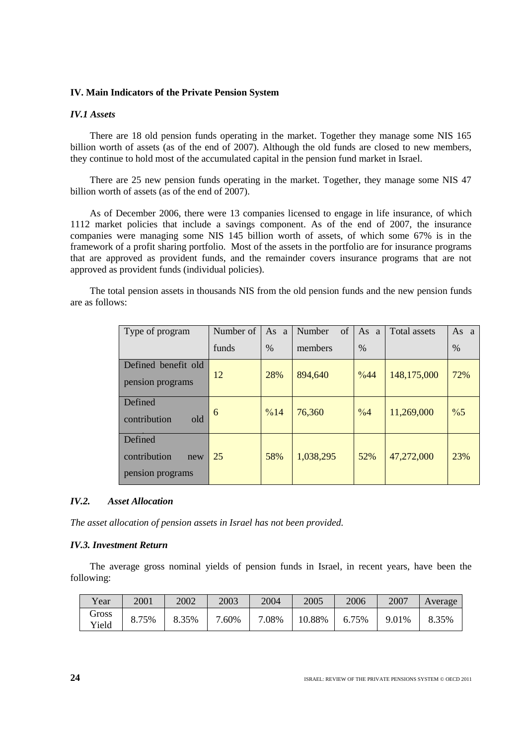## **IV. Main Indicators of the Private Pension System**

#### *IV.1 Assets*

There are 18 old pension funds operating in the market. Together they manage some NIS 165 billion worth of assets (as of the end of 2007). Although the old funds are closed to new members, they continue to hold most of the accumulated capital in the pension fund market in Israel.

There are 25 new pension funds operating in the market. Together, they manage some NIS 47 billion worth of assets (as of the end of 2007).

As of December 2006, there were 13 companies licensed to engage in life insurance, of which 1112 market policies that include a savings component. As of the end of 2007, the insurance companies were managing some NIS 145 billion worth of assets, of which some 67% is in the framework of a profit sharing portfolio. Most of the assets in the portfolio are for insurance programs that are approved as provident funds, and the remainder covers insurance programs that are not approved as provident funds (individual policies).

The total pension assets in thousands NIS from the old pension funds and the new pension funds are as follows:

| Type of program                                    | Number of | As a | Number<br>of | As a          | Total assets | As a          |
|----------------------------------------------------|-----------|------|--------------|---------------|--------------|---------------|
|                                                    | funds     | $\%$ | members      | $\%$          |              | $\%$          |
| Defined benefit old<br>pension programs            | 12        | 28%  | 894,640      | $\%44$        | 148,175,000  | 72%           |
| Defined<br>contribution<br>old                     | 6         | %14  | 76,360       | $\frac{0}{6}$ | 11,269,000   | $\frac{0}{6}$ |
| Defined<br>contribution<br>new<br>pension programs | 25        | 58%  | 1,038,295    | 52%           | 47,272,000   | 23%           |

## *IV.2. Asset Allocation*

*The asset allocation of pension assets in Israel has not been provided.*

#### *IV.3. Investment Return*

The average gross nominal yields of pension funds in Israel, in recent years, have been the following:

| Year           | 2001  | 2002  | 2003  | 2004  | 2005   | 2006  | 2007  | Average |
|----------------|-------|-------|-------|-------|--------|-------|-------|---------|
| Gross<br>Yield | 8.75% | 8.35% | 7.60% | 7.08% | 10.88% | 6.75% | 9.01% | 8.35%   |